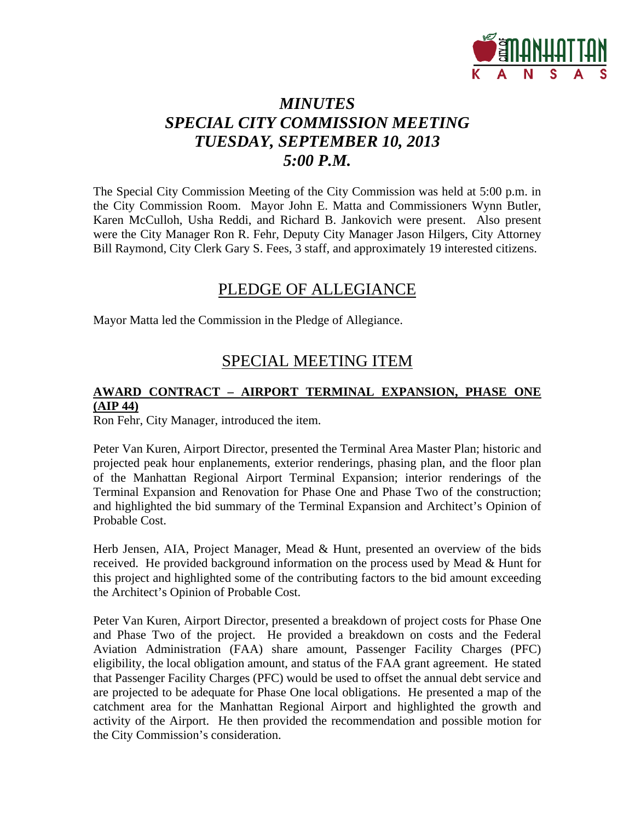

# *MINUTES SPECIAL CITY COMMISSION MEETING TUESDAY, SEPTEMBER 10, 2013 5:00 P.M.*

The Special City Commission Meeting of the City Commission was held at 5:00 p.m. in the City Commission Room. Mayor John E. Matta and Commissioners Wynn Butler, Karen McCulloh, Usha Reddi, and Richard B. Jankovich were present. Also present were the City Manager Ron R. Fehr, Deputy City Manager Jason Hilgers, City Attorney Bill Raymond, City Clerk Gary S. Fees, 3 staff, and approximately 19 interested citizens.

### PLEDGE OF ALLEGIANCE

Mayor Matta led the Commission in the Pledge of Allegiance.

### SPECIAL MEETING ITEM

### **AWARD CONTRACT – AIRPORT TERMINAL EXPANSION, PHASE ONE (AIP 44)**

Ron Fehr, City Manager, introduced the item.

Peter Van Kuren, Airport Director, presented the Terminal Area Master Plan; historic and projected peak hour enplanements, exterior renderings, phasing plan, and the floor plan of the Manhattan Regional Airport Terminal Expansion; interior renderings of the Terminal Expansion and Renovation for Phase One and Phase Two of the construction; and highlighted the bid summary of the Terminal Expansion and Architect's Opinion of Probable Cost.

Herb Jensen, AIA, Project Manager, Mead & Hunt, presented an overview of the bids received. He provided background information on the process used by Mead & Hunt for this project and highlighted some of the contributing factors to the bid amount exceeding the Architect's Opinion of Probable Cost.

Peter Van Kuren, Airport Director, presented a breakdown of project costs for Phase One and Phase Two of the project. He provided a breakdown on costs and the Federal Aviation Administration (FAA) share amount, Passenger Facility Charges (PFC) eligibility, the local obligation amount, and status of the FAA grant agreement. He stated that Passenger Facility Charges (PFC) would be used to offset the annual debt service and are projected to be adequate for Phase One local obligations. He presented a map of the catchment area for the Manhattan Regional Airport and highlighted the growth and activity of the Airport. He then provided the recommendation and possible motion for the City Commission's consideration.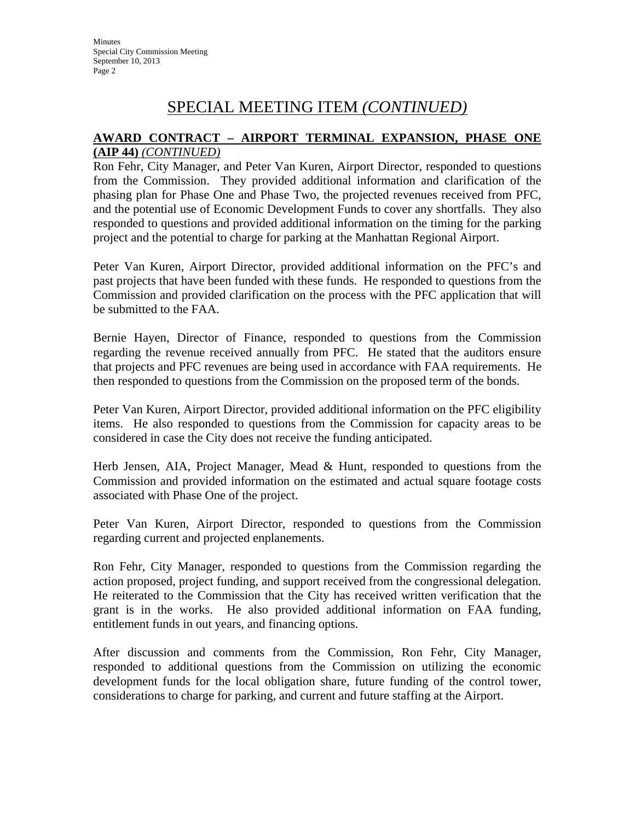# SPECIAL MEETING ITEM *(CONTINUED)*

### **AWARD CONTRACT – AIRPORT TERMINAL EXPANSION, PHASE ONE (AIP 44)** *(CONTINUED)*

Ron Fehr, City Manager, and Peter Van Kuren, Airport Director, responded to questions from the Commission. They provided additional information and clarification of the phasing plan for Phase One and Phase Two, the projected revenues received from PFC, and the potential use of Economic Development Funds to cover any shortfalls. They also responded to questions and provided additional information on the timing for the parking project and the potential to charge for parking at the Manhattan Regional Airport.

Peter Van Kuren, Airport Director, provided additional information on the PFC's and past projects that have been funded with these funds. He responded to questions from the Commission and provided clarification on the process with the PFC application that will be submitted to the FAA.

Bernie Hayen, Director of Finance, responded to questions from the Commission regarding the revenue received annually from PFC. He stated that the auditors ensure that projects and PFC revenues are being used in accordance with FAA requirements. He then responded to questions from the Commission on the proposed term of the bonds.

Peter Van Kuren, Airport Director, provided additional information on the PFC eligibility items. He also responded to questions from the Commission for capacity areas to be considered in case the City does not receive the funding anticipated.

Herb Jensen, AIA, Project Manager, Mead & Hunt, responded to questions from the Commission and provided information on the estimated and actual square footage costs associated with Phase One of the project.

Peter Van Kuren, Airport Director, responded to questions from the Commission regarding current and projected enplanements.

Ron Fehr, City Manager, responded to questions from the Commission regarding the action proposed, project funding, and support received from the congressional delegation. He reiterated to the Commission that the City has received written verification that the grant is in the works. He also provided additional information on FAA funding, entitlement funds in out years, and financing options.

After discussion and comments from the Commission, Ron Fehr, City Manager, responded to additional questions from the Commission on utilizing the economic development funds for the local obligation share, future funding of the control tower, considerations to charge for parking, and current and future staffing at the Airport.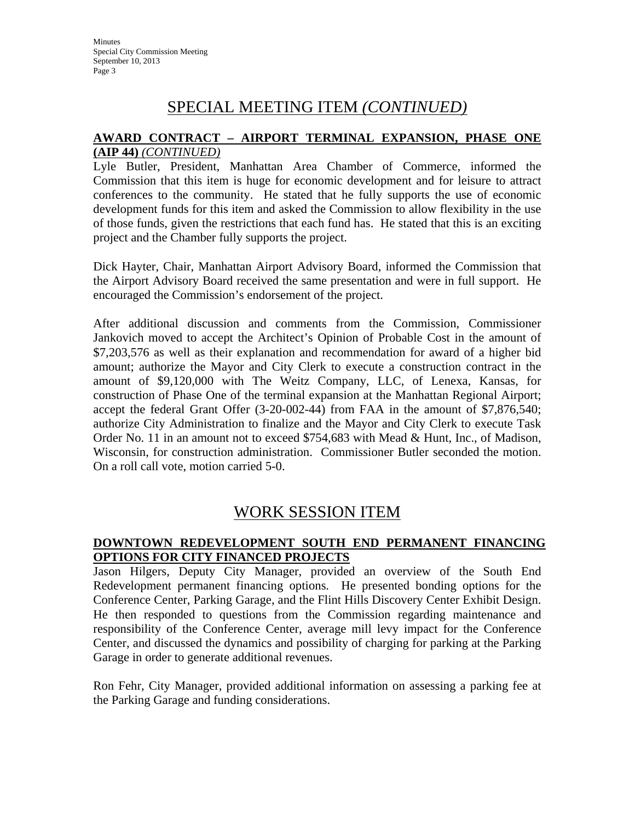# SPECIAL MEETING ITEM *(CONTINUED)*

#### **AWARD CONTRACT – AIRPORT TERMINAL EXPANSION, PHASE ONE (AIP 44)** *(CONTINUED)*

Lyle Butler, President, Manhattan Area Chamber of Commerce, informed the Commission that this item is huge for economic development and for leisure to attract conferences to the community. He stated that he fully supports the use of economic development funds for this item and asked the Commission to allow flexibility in the use of those funds, given the restrictions that each fund has. He stated that this is an exciting project and the Chamber fully supports the project.

Dick Hayter, Chair, Manhattan Airport Advisory Board, informed the Commission that the Airport Advisory Board received the same presentation and were in full support. He encouraged the Commission's endorsement of the project.

After additional discussion and comments from the Commission, Commissioner Jankovich moved to accept the Architect's Opinion of Probable Cost in the amount of \$7,203,576 as well as their explanation and recommendation for award of a higher bid amount; authorize the Mayor and City Clerk to execute a construction contract in the amount of \$9,120,000 with The Weitz Company, LLC, of Lenexa, Kansas, for construction of Phase One of the terminal expansion at the Manhattan Regional Airport; accept the federal Grant Offer (3-20-002-44) from FAA in the amount of \$7,876,540; authorize City Administration to finalize and the Mayor and City Clerk to execute Task Order No. 11 in an amount not to exceed \$754,683 with Mead & Hunt, Inc., of Madison, Wisconsin, for construction administration. Commissioner Butler seconded the motion. On a roll call vote, motion carried 5-0.

### WORK SESSION ITEM

### **DOWNTOWN REDEVELOPMENT SOUTH END PERMANENT FINANCING OPTIONS FOR CITY FINANCED PROJECTS**

Jason Hilgers, Deputy City Manager, provided an overview of the South End Redevelopment permanent financing options. He presented bonding options for the Conference Center, Parking Garage, and the Flint Hills Discovery Center Exhibit Design. He then responded to questions from the Commission regarding maintenance and responsibility of the Conference Center, average mill levy impact for the Conference Center, and discussed the dynamics and possibility of charging for parking at the Parking Garage in order to generate additional revenues.

Ron Fehr, City Manager, provided additional information on assessing a parking fee at the Parking Garage and funding considerations.